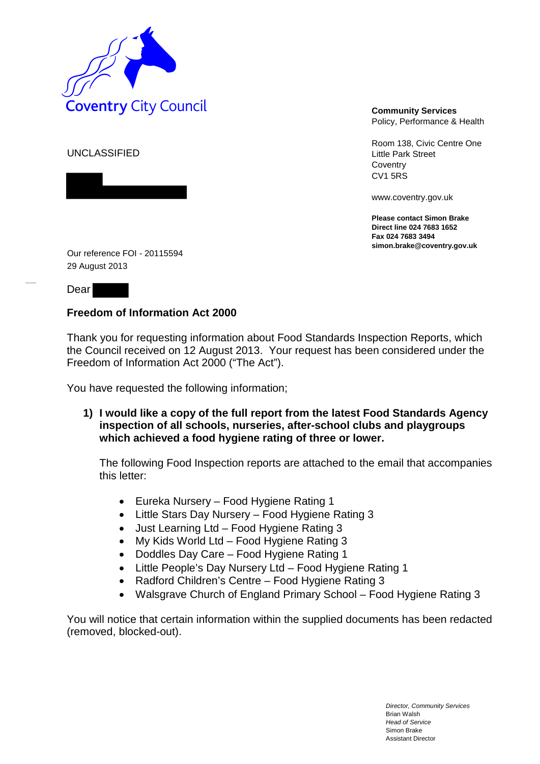

Policy, Performance & Health

Room 138, Civic Centre One Little Park Street **Coventry** CV1 5RS

www.coventry.gov.uk

**Please contact Simon Brake Direct line 024 7683 1652 Fax 024 7683 3494 simon.brake@coventry.gov.uk** 

UNCLASSIFIED

Our reference FOI - 20115594 29 August 2013

Dear

## **Freedom of Information Act 2000**

Thank you for requesting information about Food Standards Inspection Reports, which the Council received on 12 August 2013. Your request has been considered under the Freedom of Information Act 2000 ("The Act").

You have requested the following information;

**1) I would like a copy of the full report from the latest Food Standards Agency inspection of all schools, nurseries, after-school clubs and playgroups which achieved a food hygiene rating of three or lower.**

The following Food Inspection reports are attached to the email that accompanies this letter:

- Eureka Nursery Food Hygiene Rating 1
- Little Stars Day Nursery Food Hygiene Rating 3
- Just Learning Ltd Food Hygiene Rating 3
- My Kids World Ltd Food Hygiene Rating 3
- Doddles Day Care Food Hygiene Rating 1
- Little People's Day Nursery Ltd Food Hygiene Rating 1
- Radford Children's Centre Food Hygiene Rating 3
- Walsgrave Church of England Primary School Food Hygiene Rating 3

You will notice that certain information within the supplied documents has been redacted (removed, blocked-out).

> *Director, Community Services* Brian Walsh *Head of Service* Simon Brake Assistant Director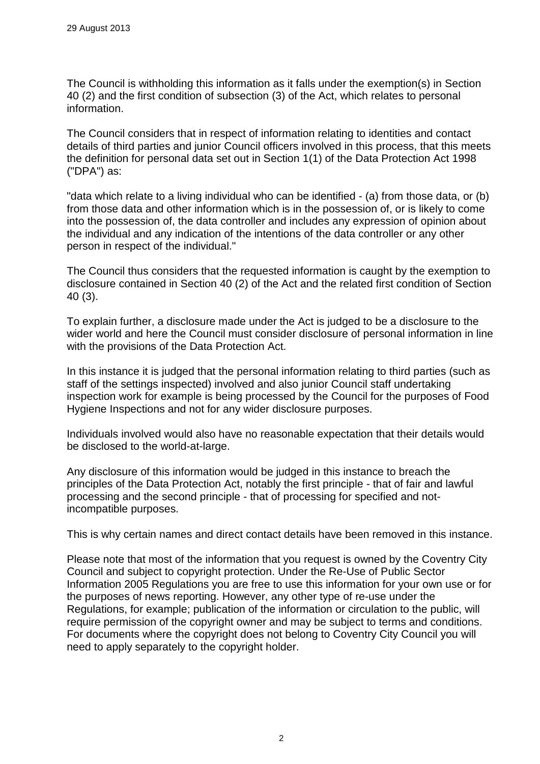The Council is withholding this information as it falls under the exemption(s) in Section 40 (2) and the first condition of subsection (3) of the Act, which relates to personal information.

The Council considers that in respect of information relating to identities and contact details of third parties and junior Council officers involved in this process, that this meets the definition for personal data set out in Section 1(1) of the Data Protection Act 1998 ("DPA") as:

"data which relate to a living individual who can be identified - (a) from those data, or (b) from those data and other information which is in the possession of, or is likely to come into the possession of, the data controller and includes any expression of opinion about the individual and any indication of the intentions of the data controller or any other person in respect of the individual."

The Council thus considers that the requested information is caught by the exemption to disclosure contained in Section 40 (2) of the Act and the related first condition of Section 40 (3).

To explain further, a disclosure made under the Act is judged to be a disclosure to the wider world and here the Council must consider disclosure of personal information in line with the provisions of the Data Protection Act.

In this instance it is judged that the personal information relating to third parties (such as staff of the settings inspected) involved and also junior Council staff undertaking inspection work for example is being processed by the Council for the purposes of Food Hygiene Inspections and not for any wider disclosure purposes.

Individuals involved would also have no reasonable expectation that their details would be disclosed to the world-at-large.

Any disclosure of this information would be judged in this instance to breach the principles of the Data Protection Act, notably the first principle - that of fair and lawful processing and the second principle - that of processing for specified and notincompatible purposes.

This is why certain names and direct contact details have been removed in this instance.

Please note that most of the information that you request is owned by the Coventry City Council and subject to copyright protection. Under the Re-Use of Public Sector Information 2005 Regulations you are free to use this information for your own use or for the purposes of news reporting. However, any other type of re-use under the Regulations, for example; publication of the information or circulation to the public, will require permission of the copyright owner and may be subject to terms and conditions. For documents where the copyright does not belong to Coventry City Council you will need to apply separately to the copyright holder.